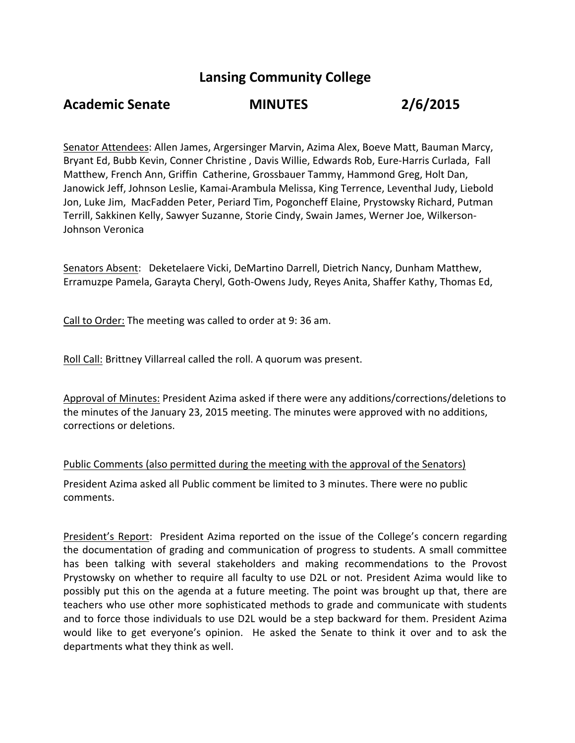# **Lansing Community College**

# **Academic Senate MINUTES 2/6/2015**

Senator Attendees: Allen James, Argersinger Marvin, Azima Alex, Boeve Matt, Bauman Marcy, Bryant Ed, Bubb Kevin, Conner Christine , Davis Willie, Edwards Rob, Eure-Harris Curlada, Fall Matthew, French Ann, Griffin Catherine, Grossbauer Tammy, Hammond Greg, Holt Dan, Janowick Jeff, Johnson Leslie, Kamai-Arambula Melissa, King Terrence, Leventhal Judy, Liebold Jon, Luke Jim, MacFadden Peter, Periard Tim, Pogoncheff Elaine, Prystowsky Richard, Putman Terrill, Sakkinen Kelly, Sawyer Suzanne, Storie Cindy, Swain James, Werner Joe, Wilkerson-Johnson Veronica

Senators Absent: Deketelaere Vicki, DeMartino Darrell, Dietrich Nancy, Dunham Matthew, Erramuzpe Pamela, Garayta Cheryl, Goth-Owens Judy, Reyes Anita, Shaffer Kathy, Thomas Ed,

Call to Order: The meeting was called to order at 9: 36 am.

Roll Call: Brittney Villarreal called the roll. A quorum was present.

Approval of Minutes: President Azima asked if there were any additions/corrections/deletions to the minutes of the January 23, 2015 meeting. The minutes were approved with no additions, corrections or deletions.

## Public Comments (also permitted during the meeting with the approval of the Senators)

President Azima asked all Public comment be limited to 3 minutes. There were no public comments.

President's Report: President Azima reported on the issue of the College's concern regarding the documentation of grading and communication of progress to students. A small committee has been talking with several stakeholders and making recommendations to the Provost Prystowsky on whether to require all faculty to use D2L or not. President Azima would like to possibly put this on the agenda at a future meeting. The point was brought up that, there are teachers who use other more sophisticated methods to grade and communicate with students and to force those individuals to use D2L would be a step backward for them. President Azima would like to get everyone's opinion. He asked the Senate to think it over and to ask the departments what they think as well.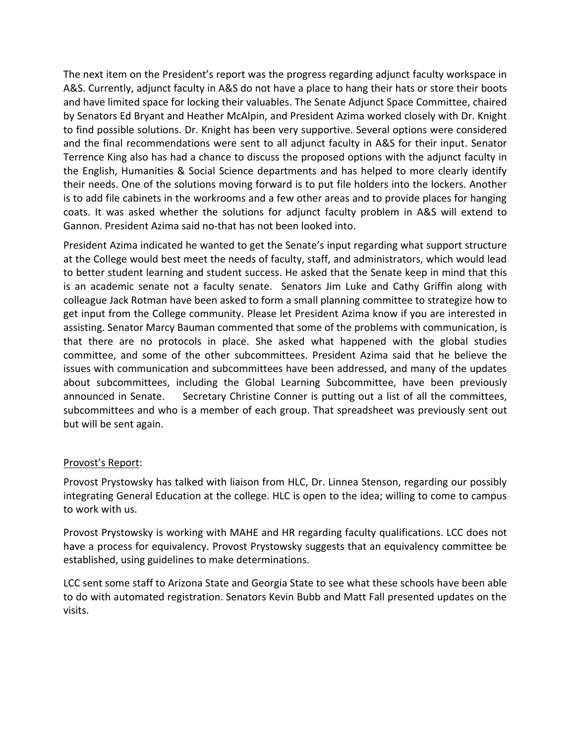The next item on the President's report was the progress regarding adjunct faculty workspace in A&S. Currently, adjunct faculty in A&S do not have a place to hang their hats or store their boots and have limited space for locking their valuables. The Senate Adjunct Space Committee, chaired by Senators Ed Bryant and Heather McAlpin, and President Azima worked closely with Dr. Knight to find possible solutions. Dr. Knight has been very supportive. Several options were considered and the final recommendations were sent to all adjunct faculty in A&S for their input. Senator Terrence King also has had a chance to discuss the proposed options with the adjunct faculty in the English, Humanities & Social Science departments and has helped to more clearly identify their needs. One of the solutions moving forward is to put file holders into the lockers. Another is to add file cabinets in the workrooms and a few other areas and to provide places for hanging coats. It was asked whether the solutions for adjunct faculty problem in A&S will extend to Gannon. President Azima said no-that has not been looked into.

President Azima indicated he wanted to get the Senate's input regarding what support structure at the College would best meet the needs of faculty, staff, and administrators, which would lead to better student learning and student success. He asked that the Senate keep in mind that this is an academic senate not a faculty senate. Senators Jim Luke and Cathy Griffin along with colleague Jack Rotman have been asked to form a small planning committee to strategize how to get input from the College community. Please let President Azima know if you are interested in assisting. Senator Marcy Bauman commented that some of the problems with communication, is that there are no protocols in place. She asked what happened with the global studies committee, and some of the other subcommittees. President Azima said that he believe the issues with communication and subcommittees have been addressed, and many of the updates about subcommittees, including the Global Learning Subcommittee, have been previously announced in Senate. Secretary Christine Conner is putting out a list of all the committees, subcommittees and who is a member of each group. That spreadsheet was previously sent out but will be sent again.

## Provost's Report:

Provost Prystowsky has talked with liaison from HLC, Dr. Linnea Stenson, regarding our possibly integrating General Education at the college. HLC is open to the idea; willing to come to campus to work with us.

Provost Prystowsky is working with MAHE and HR regarding faculty qualifications. LCC does not have a process for equivalency. Provost Prystowsky suggests that an equivalency committee be established, using guidelines to make determinations.

LCC sent some staff to Arizona State and Georgia State to see what these schools have been able to do with automated registration. Senators Kevin Bubb and Matt Fall presented updates on the visits.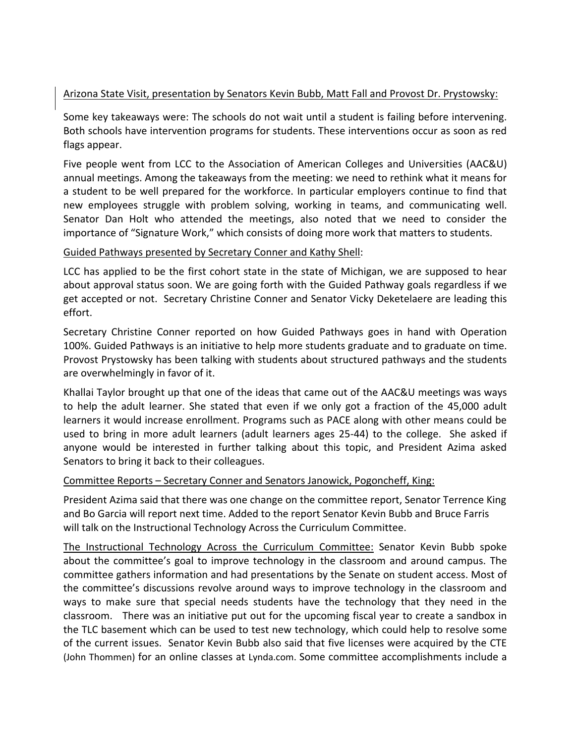## Arizona State Visit, presentation by Senators Kevin Bubb, Matt Fall and Provost Dr. Prystowsky:

Some key takeaways were: The schools do not wait until a student is failing before intervening. Both schools have intervention programs for students. These interventions occur as soon as red flags appear.

Five people went from LCC to the Association of American Colleges and Universities (AAC&U) annual meetings. Among the takeaways from the meeting: we need to rethink what it means for a student to be well prepared for the workforce. In particular employers continue to find that new employees struggle with problem solving, working in teams, and communicating well. Senator Dan Holt who attended the meetings, also noted that we need to consider the importance of "Signature Work," which consists of doing more work that matters to students.

## Guided Pathways presented by Secretary Conner and Kathy Shell:

LCC has applied to be the first cohort state in the state of Michigan, we are supposed to hear about approval status soon. We are going forth with the Guided Pathway goals regardless if we get accepted or not. Secretary Christine Conner and Senator Vicky Deketelaere are leading this effort.

Secretary Christine Conner reported on how Guided Pathways goes in hand with Operation 100%. Guided Pathways is an initiative to help more students graduate and to graduate on time. Provost Prystowsky has been talking with students about structured pathways and the students are overwhelmingly in favor of it.

Khallai Taylor brought up that one of the ideas that came out of the AAC&U meetings was ways to help the adult learner. She stated that even if we only got a fraction of the 45,000 adult learners it would increase enrollment. Programs such as PACE along with other means could be used to bring in more adult learners (adult learners ages 25-44) to the college. She asked if anyone would be interested in further talking about this topic, and President Azima asked Senators to bring it back to their colleagues.

## Committee Reports – Secretary Conner and Senators Janowick, Pogoncheff, King:

President Azima said that there was one change on the committee report, Senator Terrence King and Bo Garcia will report next time. Added to the report Senator Kevin Bubb and Bruce Farris will talk on the Instructional Technology Across the Curriculum Committee.

The Instructional Technology Across the Curriculum Committee: Senator Kevin Bubb spoke about the committee's goal to improve technology in the classroom and around campus. The committee gathers information and had presentations by the Senate on student access. Most of the committee's discussions revolve around ways to improve technology in the classroom and ways to make sure that special needs students have the technology that they need in the classroom. There was an initiative put out for the upcoming fiscal year to create a sandbox in the TLC basement which can be used to test new technology, which could help to resolve some of the current issues. Senator Kevin Bubb also said that five licenses were acquired by the CTE (John Thommen) for an online classes at Lynda.com. Some committee accomplishments include a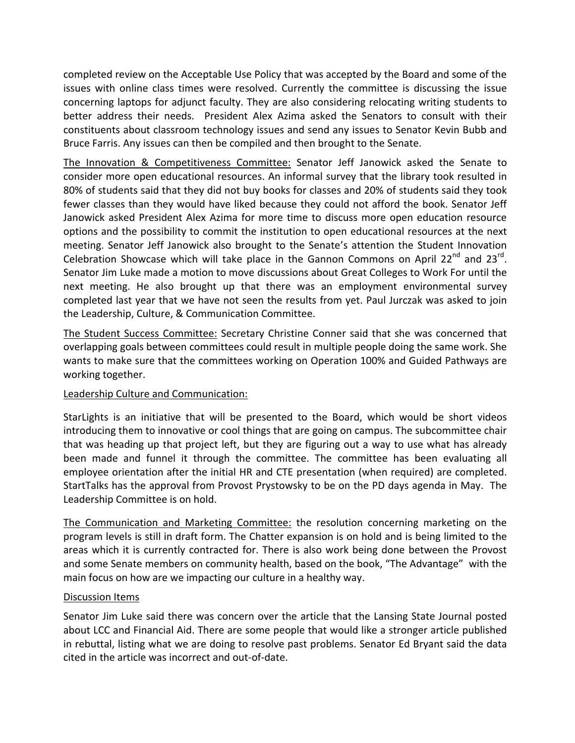completed review on the Acceptable Use Policy that was accepted by the Board and some of the issues with online class times were resolved. Currently the committee is discussing the issue concerning laptops for adjunct faculty. They are also considering relocating writing students to better address their needs. President Alex Azima asked the Senators to consult with their constituents about classroom technology issues and send any issues to Senator Kevin Bubb and Bruce Farris. Any issues can then be compiled and then brought to the Senate.

The Innovation & Competitiveness Committee: Senator Jeff Janowick asked the Senate to consider more open educational resources. An informal survey that the library took resulted in 80% of students said that they did not buy books for classes and 20% of students said they took fewer classes than they would have liked because they could not afford the book. Senator Jeff Janowick asked President Alex Azima for more time to discuss more open education resource options and the possibility to commit the institution to open educational resources at the next meeting. Senator Jeff Janowick also brought to the Senate's attention the Student Innovation Celebration Showcase which will take place in the Gannon Commons on April 22<sup>nd</sup> and 23<sup>rd</sup>. Senator Jim Luke made a motion to move discussions about Great Colleges to Work For until the next meeting. He also brought up that there was an employment environmental survey completed last year that we have not seen the results from yet. Paul Jurczak was asked to join the Leadership, Culture, & Communication Committee.

The Student Success Committee: Secretary Christine Conner said that she was concerned that overlapping goals between committees could result in multiple people doing the same work. She wants to make sure that the committees working on Operation 100% and Guided Pathways are working together.

## Leadership Culture and Communication:

StarLights is an initiative that will be presented to the Board, which would be short videos introducing them to innovative or cool things that are going on campus. The subcommittee chair that was heading up that project left, but they are figuring out a way to use what has already been made and funnel it through the committee. The committee has been evaluating all employee orientation after the initial HR and CTE presentation (when required) are completed. StartTalks has the approval from Provost Prystowsky to be on the PD days agenda in May. The Leadership Committee is on hold.

The Communication and Marketing Committee: the resolution concerning marketing on the program levels is still in draft form. The Chatter expansion is on hold and is being limited to the areas which it is currently contracted for. There is also work being done between the Provost and some Senate members on community health, based on the book, "The Advantage" with the main focus on how are we impacting our culture in a healthy way.

## Discussion Items

Senator Jim Luke said there was concern over the article that the Lansing State Journal posted about LCC and Financial Aid. There are some people that would like a stronger article published in rebuttal, listing what we are doing to resolve past problems. Senator Ed Bryant said the data cited in the article was incorrect and out-of-date.